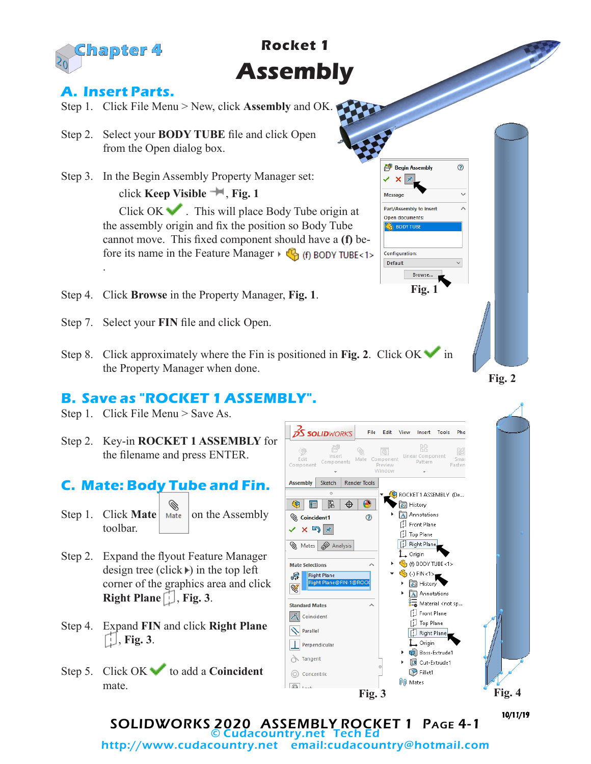

# **Rocket 1 Assembly**

## **A. Insert Parts.**

- Step 1. Click File Menu > New, click **Assembly** and OK.
- Step 2. Select your **BODY TUBE** file and click Open from the Open dialog box.
- Step 3. In the Begin Assembly Property Manager set: click **Keep Visible** , **Fig. 1** Click OK . This will place Body Tube origin at the assembly origin and fix the position so Body Tube cannot move. This fixed component should have a **(f)** before its name in the Feature Manager  $\mathcal{F}_{\mathcal{B}}$  (f) BODY TUBE<1> .
- Step 4. Click **Browse** in the Property Manager, **Fig. 1**.
- Step 7. Select your **FIN** file and click Open.
- Step 8. Click approximately where the Fin is positioned in Fig. 2. Click OK in the Property Manager when done.

## **B. Save as "ROCKET 1 ASSEMBLY".**

- Step 1. Click File Menu > Save As.
- Step 2. Key-in **ROCKET 1 ASSEMBLY** for the filename and press ENTER.

#### **C. Mate: Body Tube and Fin.**

- Step 1. Click **Mate**  $\left| \begin{array}{c} \infty \\ \infty \end{array} \right|$  on the Assembly toolbar.
- Step 2. Expand the flyout Feature Manager design tree (click  $\triangleright$ ) in the top left corner of the graphics area and click **Right Plane**  $\left[\cdot\right]$ , **Fig. 3**.
- Step 4. Expand **FIN** and click **Right Plane** , **Fig. 3**.
- Step 5. Click OK to add a **Coincident** mate.



**Fig. 1**

Browse...

**Begin Assembly** V X X Message

Part/Assembly to Insert

Open documents

**Configuration:** Default

 $^{\circ}$ 

×

SOLIDWORKS 2020 ASSEMBLY ROCKET 1 Page 4-1 © Cudacountry.net Tech Ed http://www.cudacountry.net email:cudacountry@hotmail.com

**Fig. 2**

10/11/19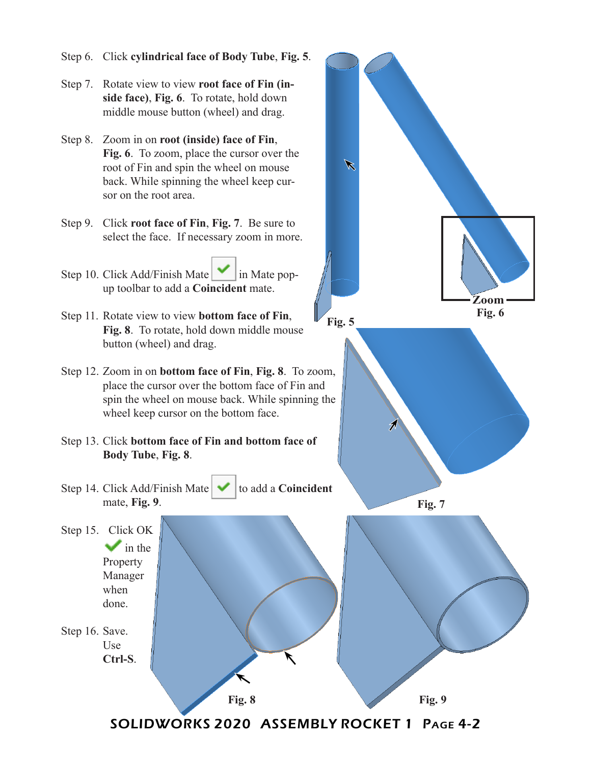- Step 6. Click **cylindrical face of Body Tube**, **Fig. 5**.
- Step 7. Rotate view to view **root face of Fin (inside face)**, **Fig. 6**. To rotate, hold down middle mouse button (wheel) and drag.
- Step 8. Zoom in on **root (inside) face of Fin**, **Fig. 6**. To zoom, place the cursor over the root of Fin and spin the wheel on mouse back. While spinning the wheel keep cursor on the root area.
- Step 9. Click **root face of Fin**, **Fig. 7**. Be sure to select the face. If necessary zoom in more.
- Step 10. Click Add/Finish Mate  $\vert \cdot \vert$  in Mate popup toolbar to add a **Coincident** mate.
- Step 11. Rotate view to view **bottom face of Fin**, **Fig. 8**. To rotate, hold down middle mouse button (wheel) and drag.
- Step 12. Zoom in on **bottom face of Fin**, **Fig. 8**. To zoom, place the cursor over the bottom face of Fin and spin the wheel on mouse back. While spinning the wheel keep cursor on the bottom face.
- Step 13. Click **bottom face of Fin and bottom face of Body Tube**, **Fig. 8**.
- Step 14. Click Add/Finish Mate  $\blacktriangleright$  to add a **Coincident** mate, **Fig. 9**.
- Step 15. Click OK  $\blacktriangleright$  in the Property Manager when done.
- Step 16. Save. Use **Ctrl-S**.



SOLIDWORKS 2020 ASSEMBLY ROCKET 1 Page 4-2

**Fig. 8 Fig. 9**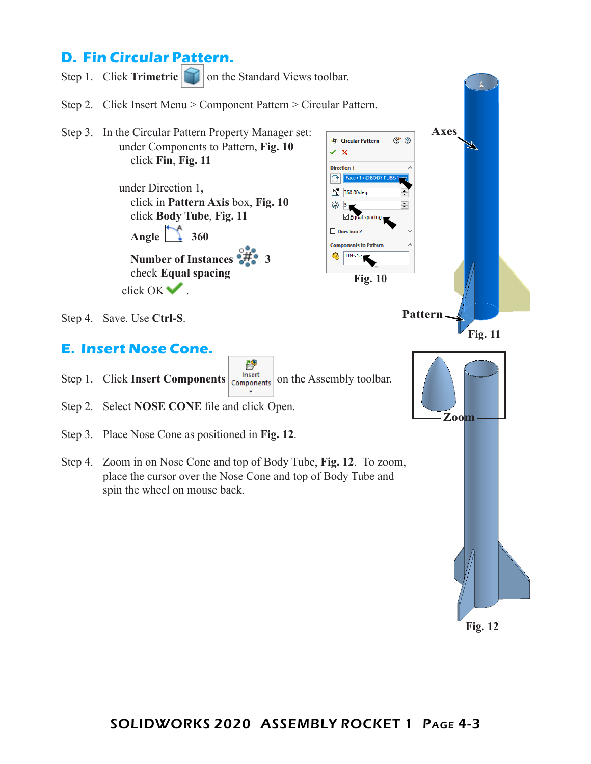# **D. Fin Circular Pattern.**



**Fig. 12**